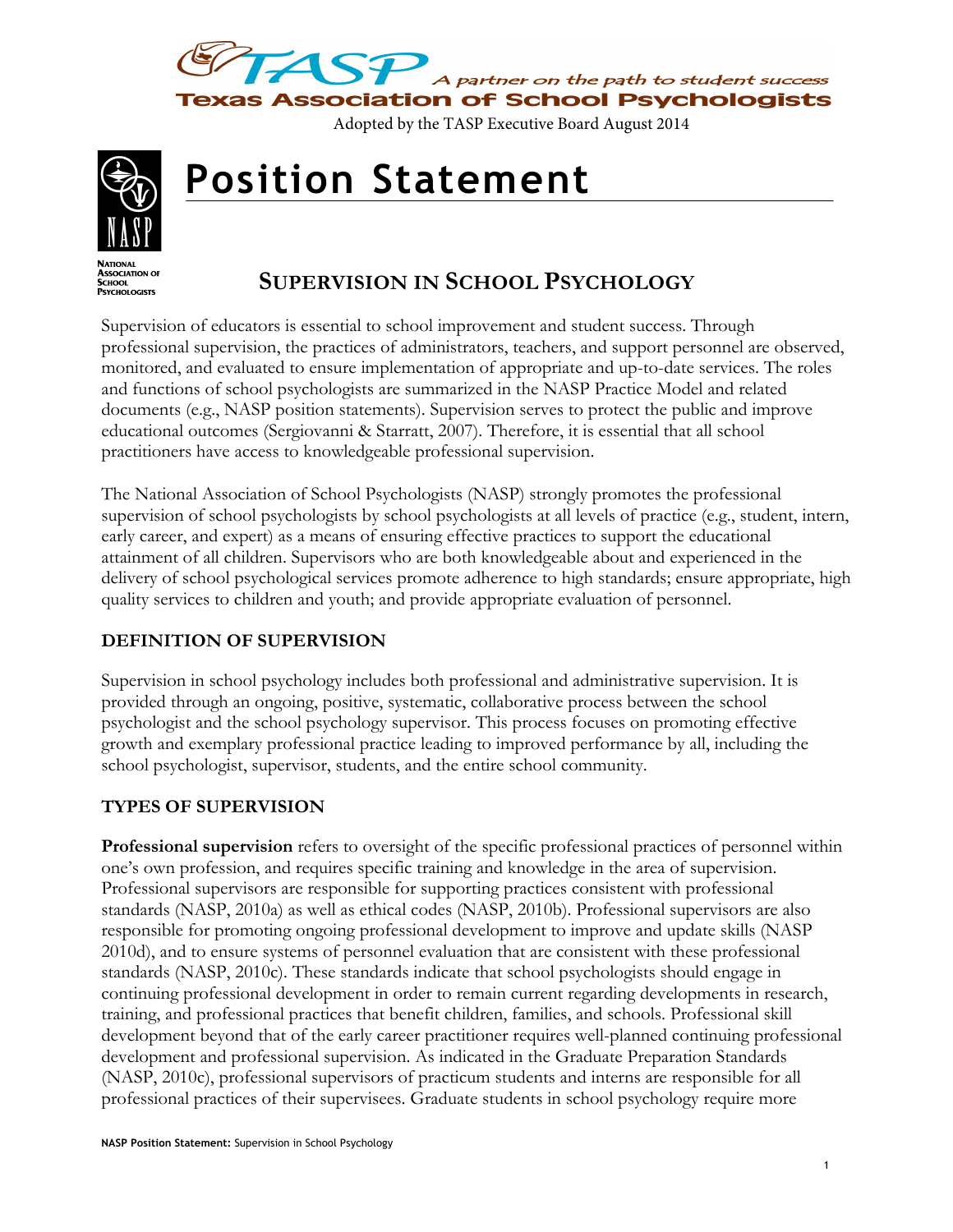



# **Position Statement**

ASSOCIATION<br>SCHOOL<br>PSYCHOLOGISTS

# **SUPERVISION IN SCHOOL PSYCHOLOGY**

Supervision of educators is essential to school improvement and student success. Through professional supervision, the practices of administrators, teachers, and support personnel are observed, monitored, and evaluated to ensure implementation of appropriate and up-to-date services. The roles and functions of school psychologists are summarized in the NASP Practice Model and related documents (e.g., NASP position statements). Supervision serves to protect the public and improve educational outcomes (Sergiovanni & Starratt, 2007). Therefore, it is essential that all school practitioners have access to knowledgeable professional supervision.

The National Association of School Psychologists (NASP) strongly promotes the professional supervision of school psychologists by school psychologists at all levels of practice (e.g., student, intern, early career, and expert) as a means of ensuring effective practices to support the educational attainment of all children. Supervisors who are both knowledgeable about and experienced in the delivery of school psychological services promote adherence to high standards; ensure appropriate, high quality services to children and youth; and provide appropriate evaluation of personnel.

## **DEFINITION OF SUPERVISION**

Supervision in school psychology includes both professional and administrative supervision. It is provided through an ongoing, positive, systematic, collaborative process between the school psychologist and the school psychology supervisor. This process focuses on promoting effective growth and exemplary professional practice leading to improved performance by all, including the school psychologist, supervisor, students, and the entire school community.

## **TYPES OF SUPERVISION**

**Professional supervision** refers to oversight of the specific professional practices of personnel within one's own profession, and requires specific training and knowledge in the area of supervision. Professional supervisors are responsible for supporting practices consistent with professional standards (NASP, 2010a) as well as ethical codes (NASP, 2010b). Professional supervisors are also responsible for promoting ongoing professional development to improve and update skills (NASP 2010d), and to ensure systems of personnel evaluation that are consistent with these professional standards (NASP, 2010c). These standards indicate that school psychologists should engage in continuing professional development in order to remain current regarding developments in research, training, and professional practices that benefit children, families, and schools. Professional skill development beyond that of the early career practitioner requires well-planned continuing professional development and professional supervision. As indicated in the Graduate Preparation Standards (NASP, 2010c), professional supervisors of practicum students and interns are responsible for all professional practices of their supervisees. Graduate students in school psychology require more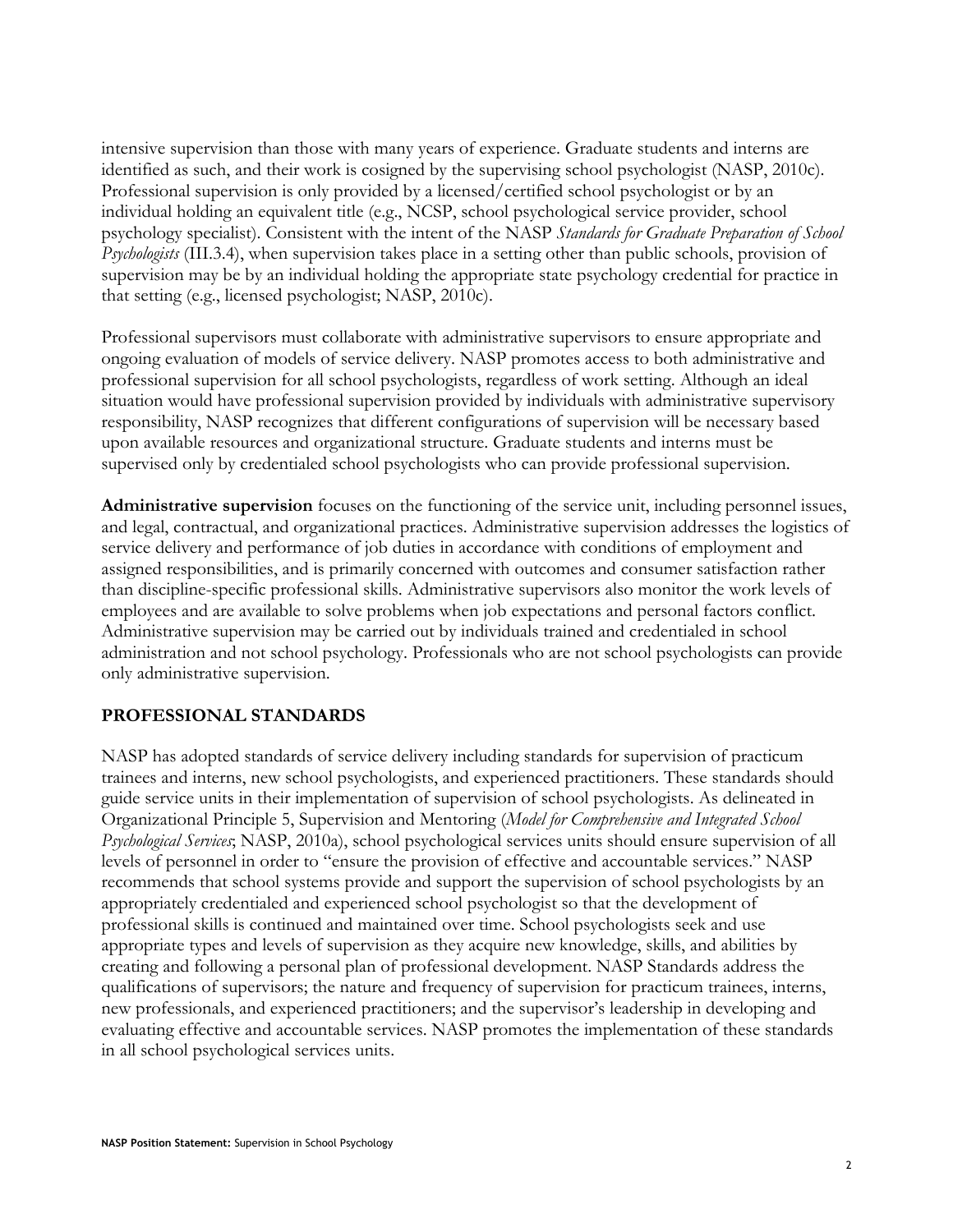intensive supervision than those with many years of experience. Graduate students and interns are identified as such, and their work is cosigned by the supervising school psychologist (NASP, 2010c). Professional supervision is only provided by a licensed/certified school psychologist or by an individual holding an equivalent title (e.g., NCSP, school psychological service provider, school psychology specialist). Consistent with the intent of the NASP *Standards for Graduate Preparation of School Psychologists* (III.3.4), when supervision takes place in a setting other than public schools, provision of supervision may be by an individual holding the appropriate state psychology credential for practice in that setting (e.g., licensed psychologist; NASP, 2010c).

Professional supervisors must collaborate with administrative supervisors to ensure appropriate and ongoing evaluation of models of service delivery. NASP promotes access to both administrative and professional supervision for all school psychologists, regardless of work setting. Although an ideal situation would have professional supervision provided by individuals with administrative supervisory responsibility, NASP recognizes that different configurations of supervision will be necessary based upon available resources and organizational structure. Graduate students and interns must be supervised only by credentialed school psychologists who can provide professional supervision.

**Administrative supervision** focuses on the functioning of the service unit, including personnel issues, and legal, contractual, and organizational practices. Administrative supervision addresses the logistics of service delivery and performance of job duties in accordance with conditions of employment and assigned responsibilities, and is primarily concerned with outcomes and consumer satisfaction rather than discipline-specific professional skills. Administrative supervisors also monitor the work levels of employees and are available to solve problems when job expectations and personal factors conflict. Administrative supervision may be carried out by individuals trained and credentialed in school administration and not school psychology. Professionals who are not school psychologists can provide only administrative supervision.

#### **PROFESSIONAL STANDARDS**

NASP has adopted standards of service delivery including standards for supervision of practicum trainees and interns, new school psychologists, and experienced practitioners. These standards should guide service units in their implementation of supervision of school psychologists. As delineated in Organizational Principle 5, Supervision and Mentoring (*Model for Comprehensive and Integrated School Psychological Services*; NASP, 2010a), school psychological services units should ensure supervision of all levels of personnel in order to "ensure the provision of effective and accountable services." NASP recommends that school systems provide and support the supervision of school psychologists by an appropriately credentialed and experienced school psychologist so that the development of professional skills is continued and maintained over time. School psychologists seek and use appropriate types and levels of supervision as they acquire new knowledge, skills, and abilities by creating and following a personal plan of professional development. NASP Standards address the qualifications of supervisors; the nature and frequency of supervision for practicum trainees, interns, new professionals, and experienced practitioners; and the supervisor's leadership in developing and evaluating effective and accountable services. NASP promotes the implementation of these standards in all school psychological services units.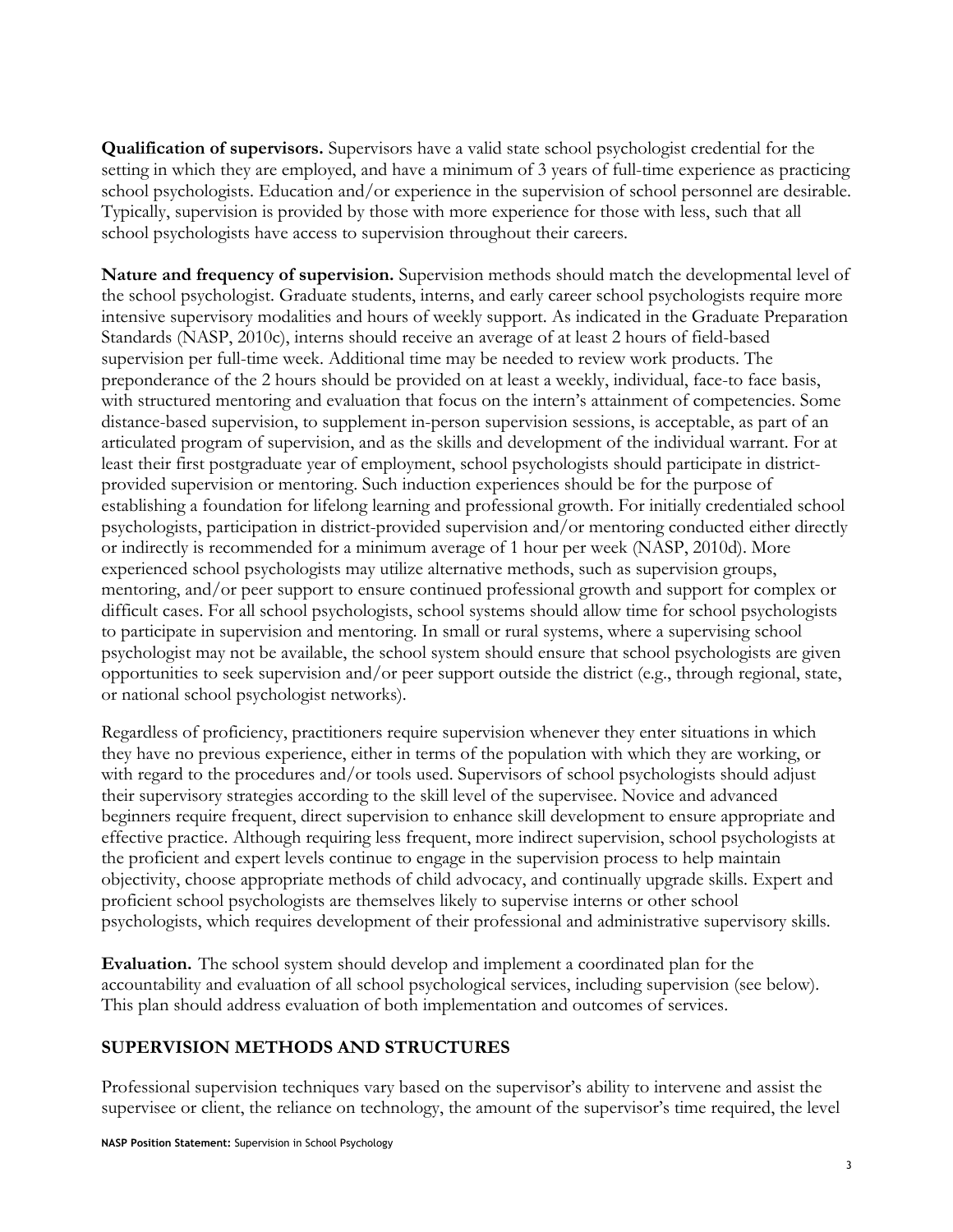**Qualification of supervisors.** Supervisors have a valid state school psychologist credential for the setting in which they are employed, and have a minimum of 3 years of full-time experience as practicing school psychologists. Education and/or experience in the supervision of school personnel are desirable. Typically, supervision is provided by those with more experience for those with less, such that all school psychologists have access to supervision throughout their careers.

**Nature and frequency of supervision.** Supervision methods should match the developmental level of the school psychologist. Graduate students, interns, and early career school psychologists require more intensive supervisory modalities and hours of weekly support. As indicated in the Graduate Preparation Standards (NASP, 2010c), interns should receive an average of at least 2 hours of field-based supervision per full-time week. Additional time may be needed to review work products. The preponderance of the 2 hours should be provided on at least a weekly, individual, face-to face basis, with structured mentoring and evaluation that focus on the intern's attainment of competencies. Some distance-based supervision, to supplement in-person supervision sessions, is acceptable, as part of an articulated program of supervision, and as the skills and development of the individual warrant. For at least their first postgraduate year of employment, school psychologists should participate in districtprovided supervision or mentoring. Such induction experiences should be for the purpose of establishing a foundation for lifelong learning and professional growth. For initially credentialed school psychologists, participation in district-provided supervision and/or mentoring conducted either directly or indirectly is recommended for a minimum average of 1 hour per week (NASP, 2010d). More experienced school psychologists may utilize alternative methods, such as supervision groups, mentoring, and/or peer support to ensure continued professional growth and support for complex or difficult cases. For all school psychologists, school systems should allow time for school psychologists to participate in supervision and mentoring. In small or rural systems, where a supervising school psychologist may not be available, the school system should ensure that school psychologists are given opportunities to seek supervision and/or peer support outside the district (e.g., through regional, state, or national school psychologist networks).

Regardless of proficiency, practitioners require supervision whenever they enter situations in which they have no previous experience, either in terms of the population with which they are working, or with regard to the procedures and/or tools used. Supervisors of school psychologists should adjust their supervisory strategies according to the skill level of the supervisee. Novice and advanced beginners require frequent, direct supervision to enhance skill development to ensure appropriate and effective practice. Although requiring less frequent, more indirect supervision, school psychologists at the proficient and expert levels continue to engage in the supervision process to help maintain objectivity, choose appropriate methods of child advocacy, and continually upgrade skills. Expert and proficient school psychologists are themselves likely to supervise interns or other school psychologists, which requires development of their professional and administrative supervisory skills.

**Evaluation.**The school system should develop and implement a coordinated plan for the accountability and evaluation of all school psychological services, including supervision (see below). This plan should address evaluation of both implementation and outcomes of services.

#### **SUPERVISION METHODS AND STRUCTURES**

Professional supervision techniques vary based on the supervisor's ability to intervene and assist the supervisee or client, the reliance on technology, the amount of the supervisor's time required, the level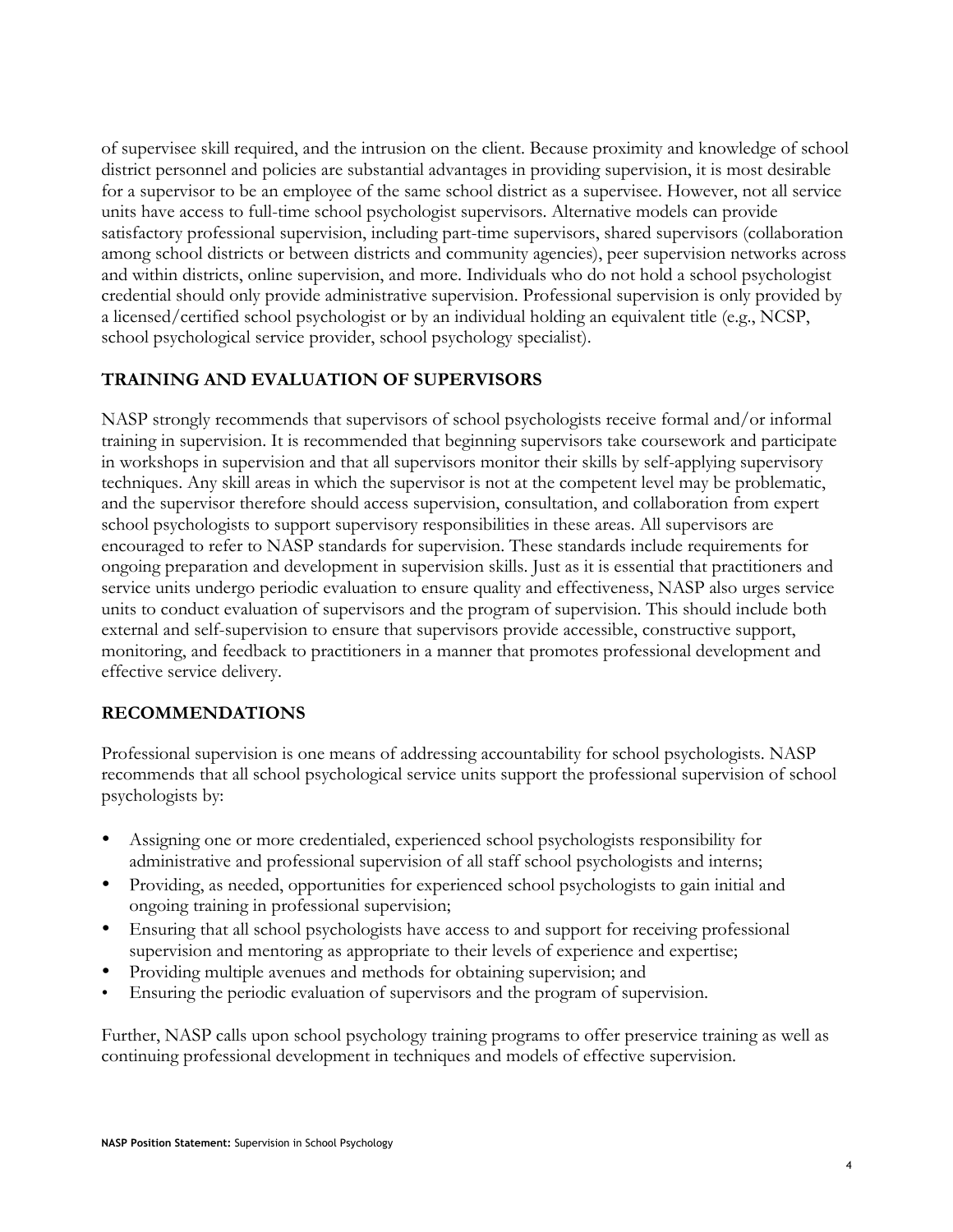of supervisee skill required, and the intrusion on the client. Because proximity and knowledge of school district personnel and policies are substantial advantages in providing supervision, it is most desirable for a supervisor to be an employee of the same school district as a supervisee. However, not all service units have access to full-time school psychologist supervisors. Alternative models can provide satisfactory professional supervision, including part-time supervisors, shared supervisors (collaboration among school districts or between districts and community agencies), peer supervision networks across and within districts, online supervision, and more. Individuals who do not hold a school psychologist credential should only provide administrative supervision. Professional supervision is only provided by a licensed/certified school psychologist or by an individual holding an equivalent title (e.g., NCSP, school psychological service provider, school psychology specialist).

#### **TRAINING AND EVALUATION OF SUPERVISORS**

NASP strongly recommends that supervisors of school psychologists receive formal and/or informal training in supervision. It is recommended that beginning supervisors take coursework and participate in workshops in supervision and that all supervisors monitor their skills by self-applying supervisory techniques. Any skill areas in which the supervisor is not at the competent level may be problematic, and the supervisor therefore should access supervision, consultation, and collaboration from expert school psychologists to support supervisory responsibilities in these areas. All supervisors are encouraged to refer to NASP standards for supervision. These standards include requirements for ongoing preparation and development in supervision skills. Just as it is essential that practitioners and service units undergo periodic evaluation to ensure quality and effectiveness, NASP also urges service units to conduct evaluation of supervisors and the program of supervision. This should include both external and self-supervision to ensure that supervisors provide accessible, constructive support, monitoring, and feedback to practitioners in a manner that promotes professional development and effective service delivery.

#### **RECOMMENDATIONS**

Professional supervision is one means of addressing accountability for school psychologists. NASP recommends that all school psychological service units support the professional supervision of school psychologists by:

- Assigning one or more credentialed, experienced school psychologists responsibility for administrative and professional supervision of all staff school psychologists and interns;
- Providing, as needed, opportunities for experienced school psychologists to gain initial and ongoing training in professional supervision;
- Ensuring that all school psychologists have access to and support for receiving professional supervision and mentoring as appropriate to their levels of experience and expertise;
- Providing multiple avenues and methods for obtaining supervision; and
- Ensuring the periodic evaluation of supervisors and the program of supervision.

Further, NASP calls upon school psychology training programs to offer preservice training as well as continuing professional development in techniques and models of effective supervision.